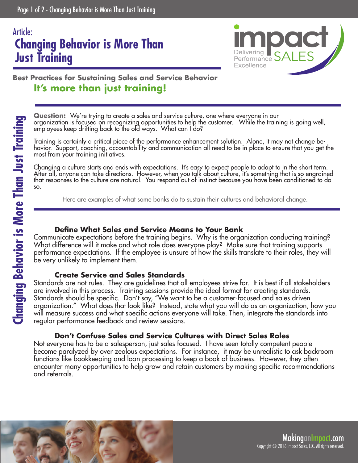## **Changing Behavior is More Than Just Training** Article:



### **Best Practices for Sustaining Sales and Service Behavior It's more than just training!**

**Question:** We're trying to create a sales and service culture, one where everyone in our organization is focused on recognizing opportunities to help the customer. While the training is going well, employees keep drifting back to the old ways. What can I do?

Training is certainly a critical piece of the performance enhancement solution. Alone, it may not change behavior. Support, coaching, accountability and communication all need to be in place to ensure that you get the most from your training initiatives.

Changing a culture starts and ends with expectations. It's easy to expect people to adapt to in the short term. After all, anyone can take directions. However, when you talk about culture, it's something that is so engrained that responses to the culture are natural. You respond out of instinct because you have been conditioned to do so.

Here are examples of what some banks do to sustain their cultures and behavioral change.

### **Define What Sales and Service Means to Your Bank**

Communicate expectations before the training begins. Why is the organization conducting training? What difference will it make and what role does everyone play? Make sure that training supports performance expectations. If the employee is unsure of how the skills translate to their roles, they will be very unlikely to implement them.

#### **Create Service and Sales Standards**

Standards are not rules. They are guidelines that all employees strive for. It is best if all stakeholders are involved in this process. Training sessions provide the ideal format for creating standards. Standards should be specific. Don't say, "We want to be a customer-focused and sales driven organization." What does that look like? Instead, state what you will do as an organization, how you will measure success and what specific actions everyone will take. Then, integrate the standards into regular performance feedback and review sessions.

### **Don't Confuse Sales and Service Cultures with Direct Sales Roles**

Not everyone has to be a salesperson, just sales focused. I have seen totally competent people become paralyzed by over zealous expectations. For instance, it may be unrealistic to ask backroom functions like bookkeeping and loan processing to keep a book of business. However, they often encounter many opportunities to help grow and retain customers by making specific recommendations and referrals.